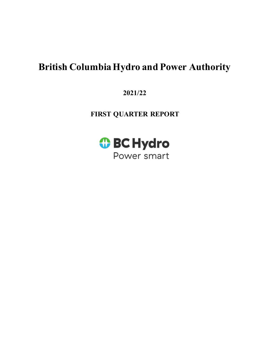# **British Columbia Hydro and Power Authority**

**2021/22** 

**FIRST QUARTER REPORT**

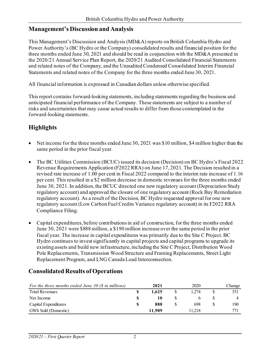### **Management's Discussion and Analysis**

This Management's Discussion and Analysis (MD&A) reports on British Columbia Hydro and Power Authority's (BC Hydro or the Company) consolidated results and financial position for the three months ended June 30, 2021 and should be read in conjunction with the MD&A presented in the 2020/21 Annual Service Plan Report, the 2020/21 Audited Consolidated Financial Statements and related notes of the Company, and the Unaudited Condensed Consolidated Interim Financial Statements and related notes of the Company for the three months ended June 30, 2021.

All financial information is expressed in Canadian dollars unless otherwise specified.

This report contains forward-looking statements, including statements regarding the business and anticipated financial performance of the Company. These statements are subject to a number of risks and uncertainties that may cause actual results to differ from those contemplated in the forward-looking statements.

## **Highlights**

- Net income for the three months ended June 30, 2021 was \$10 million, \$4 million higher than the same period in the prior fiscal year.
- The BC Utilities Commission (BCUC) issued its decision (Decision) on BC Hydro's Fiscal 2022 Revenue Requirements Application (F2022 RRA) on June 17, 2021. The Decision resulted in a revised rate increase of 1.00 per cent in Fiscal 2022 compared to the interim rate increase of 1.16 per cent. This resulted in a \$2 million decrease in domestic revenues for the three months ended June 30, 2021.In addition, the BCUC directed one new regulatory account (Depreciation Study regulatory account) and approved the closure of one regulatory account (Rock Bay Remediation regulatory account). As a result of the Decision, BC Hydro requested approval for one new regulatory account (Low Carbon Fuel Credits Variance regulatory account) in its F2022 RRA Compliance Filing.
- Capital expenditures, before contributions in aid of construction, for the three months ended June 30, 2021 were \$888 million, a \$190 million increase over the same period in the prior fiscal year. The increase in capital expenditures was primarily due to the Site C Project. BC Hydro continues to invest significantly in capital projects and capital programs to upgrade its existing assets and build new infrastructure, including the Site C Project, Distribution Wood Pole Replacements, Transmission Wood Structure and Framing Replacements, Street Light Replacement Program, and LNG Canada Load Interconnection.

### **Consolidated Results of Operations**

| For the three months ended June 30 $(\$$ in millions) |   | 2021   | 2020   | Change          |
|-------------------------------------------------------|---|--------|--------|-----------------|
| <b>Total Revenues</b>                                 |   | 1.625  | 1.274  | 351             |
| Net Income                                            |   | 10     |        |                 |
| Capital Expenditures                                  | S | 888    | 698    | 190             |
| GWh Sold (Domestic)                                   |   | 11.989 | 11.218 | 77 <sub>1</sub> |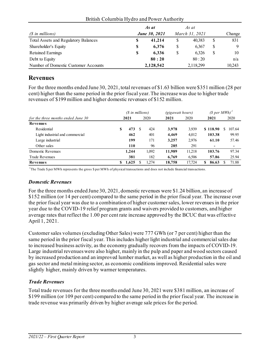|                                      | As at                |    | As at          |        |
|--------------------------------------|----------------------|----|----------------|--------|
| $(S$ in millions)                    | <b>June 30, 2021</b> |    | March 31, 2021 | Change |
| Total Assets and Regulatory Balances | \$<br>41,214         | S  | 40.383         | 831    |
| Shareholder's Equity                 | \$<br>6.376          | \$ | 6.367          |        |
| <b>Retained Earnings</b>             | \$<br>6.336          | \$ | 6.326          | 10     |
| Debt to Equity                       | 80:20                |    | 80:20          | n/a    |
| Number of Domestic Customer Accounts | 2,128,542            |    | 2,118,299      | 10,243 |

#### British Columbia Hydro and Power Authority

## **Revenues**

For the three months ended June 30, 2021, total revenues of \$1.63 billion were \$351 million (28 per cent) higher than the same period in the prior fiscal year. The increase was due to higher trade revenues of \$199 million and higher domestic revenues of \$152 million.

|                                    | (\$ in millions) |       |   |       | <i>(gigawatt hours)</i> |        | (S per MWh) |        |  |
|------------------------------------|------------------|-------|---|-------|-------------------------|--------|-------------|--------|--|
| for the three months ended June 30 |                  | 2021  |   | 2020  | 2021                    | 2020   | 2021        | 2020   |  |
| Revenues                           |                  |       |   |       |                         |        |             |        |  |
| Residential                        | S                | 473   | S | 424   | 3,978                   | 3.939  | \$118.90    | 107.64 |  |
| Light industrial and commercial    |                  | 462   |   | 401   | 4,469                   | 4,012  | 103.38      | 99.95  |  |
| Large industrial                   |                  | 199   |   | 171   | 3,257                   | 2,976  | 61.10       | 57.46  |  |
| Other sales                        |                  | 110   |   | 96    | 285                     | 291    |             |        |  |
| Domestic Revenues                  |                  | 1.244 |   | 1.092 | 11,989                  | 11.218 | 103.76      | 97.34  |  |
| Trade Revenues                     |                  | 381   |   | 182   | 6.769                   | 6.506  | 57.86       | 25.94  |  |
| Revenues                           | \$               | 1,625 |   | 1,274 | 18,758                  | 17.724 | 86.63<br>S. | 71.88  |  |

1 The Trade \$ per MWh represents the gross \$ per MWh of physical transactions and does not include financial transactions.

#### *Domestic Revenues*

For the three months ended June 30, 2021, domestic revenues were \$1.24 billion, an increase of \$152 million (or 14 per cent) compared to the same period in the prior fiscal year. The increase over the prior fiscal year was due to a combination of higher customer sales, lower revenues in the prior year due to the COVID-19 relief program grants and waivers provided to customers, and higher average rates that reflect the 1.00 per cent rate increase approved by the BCUC that was effective April 1, 2021.

Customer sales volumes (excluding Other Sales) were 777 GWh (or 7 per cent) higher than the same period in the prior fiscal year. This includes higher light industrial and commercial sales due to increased business activity, as the economy gradually recovers from the impacts of COVID-19. Large industrial revenues were also higher, mainly in the pulp and paper and wood sectors caused by increased production and an improved lumber market, as well as higher production in the oil and gas sector and metal mining sector, as economic conditions improved. Residential sales were slightly higher, mainly driven by warmer temperatures.

### *Trade Revenues*

Total trade revenues for the three months ended June 30, 2021 were \$381 million, an increase of \$199 million (or 109 per cent) compared to the same period in the prior fiscal year. The increase in trade revenue was primarily driven by higher average sale prices for the period.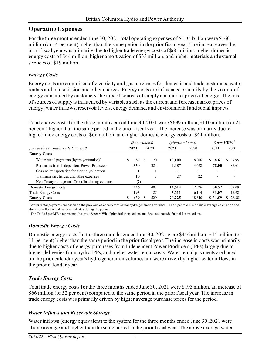## **Operating Expenses**

For the three months ended June 30, 2021, total operating expenses of \$1.34 billion were \$160 million (or 14 per cent) higher than the same period in the prior fiscal year. The increase over the prior fiscal year was primarily due to higher trade energy costs of \$66 million, higher domestic energy costs of \$44 million, higher amortization of \$33 million, and higher materials and external services of \$19 million.

## *Energy Costs*

Energy costs are comprised of electricity and gas purchases for domestic and trade customers, water rentals and transmission and other charges. Energy costs are influenced primarily by the volume of energy consumed by customers, the mix of sources of supply and market prices of energy. The mix of sources of supply is influenced by variables such as the current and forecast market prices of energy, water inflows, reservoir levels, energy demand, and environmental and social impacts.

Total energy costs for the three months ended June 30, 2021 were \$639 million, \$110 million (or 21 per cent) higher than the same period in the prior fiscal year. The increase was primarily due to higher trade energy costs of \$66 million, and higher domestic energy costs of \$44 million.

|                                                                        | (\$ in millions) |          |                          | <i>(gigawatt hours)</i>  |                          | (\$ per MWh) <sup>2</sup> |                          |
|------------------------------------------------------------------------|------------------|----------|--------------------------|--------------------------|--------------------------|---------------------------|--------------------------|
| for the three months ended June 30                                     | 2021             |          | 2020                     | 2021                     | 2020                     | 2021                      | 2020                     |
| <b>Energy Costs</b>                                                    |                  |          |                          |                          |                          |                           |                          |
| Water rental payments (hydro generation) <sup><math>\perp</math></sup> | 87               | <b>S</b> | 70                       | 10,100                   | 8.806                    | \$.<br>8.61               | 7.95                     |
| Purchases from Independent Power Producers                             | 350              |          | 324                      | 4,487                    | 3,698                    | 78.00                     | 87.61                    |
| Gas and transportation for thermal generation                          |                  |          |                          | $\overline{\phantom{a}}$ | $\overline{\phantom{0}}$ |                           | $\overline{\phantom{0}}$ |
| Transmission charges and other expenses                                | 10               |          |                          | 27                       | 22                       | $\overline{\phantom{0}}$  | $\overline{\phantom{0}}$ |
| Non-Treaty storage and Co-ordination agreements                        | (2)              |          | $\overline{\phantom{0}}$ |                          |                          |                           |                          |
| Domestic Energy Costs                                                  | 446              |          | 402                      | 14,614                   | 12,526                   | 30.52                     | 32.09                    |
| <b>Trade Energy Costs</b>                                              | 193              |          | 127                      | 5,611                    | 6.114                    | 33.07                     | 15.98                    |
| <b>Energy Costs</b>                                                    | 639              |          | 529                      | 20,225                   | 18.640                   | \$ 31.59                  | 28.38                    |

<sup>1</sup>Water rental payments are based on the previous calendar year's actual hydro generation volumes. The \$ per MWh is a simple average calculation and does not reflect actual water rental rates during the period.

2 The Trade \$ per MWh represents the gross \$ per MWh of physical transactions and does not include financial transactions.

## *Domestic Energy Costs*

Domestic energy costs for the three months ended June 30, 2021 were \$446 million, \$44 million (or 11 per cent) higher than the same period in the prior fiscal year. The increase in costs was primarily due to higher costs of energy purchases from Independent Power Producers (IPPs) largely due to higher deliveries from hydro IPPs, and higher water rental costs. Water rental payments are based on the prior calendar year's hydro generation volumes and were driven by higher water inflows in the prior calendar year.

## *Trade Energy Costs*

Total trade energy costs for the three months ended June 30, 2021 were \$193 million, an increase of \$66 million (or 52 per cent) compared to the same period in the prior fiscal year. The increase in trade energy costs was primarily driven by higher average purchase prices for the period.

## *Water Inflows and Reservoir Storage*

Water inflows (energy equivalent) to the system for the three months ended June 30, 2021 were above average and higher than the same period in the prior fiscal year. The above average water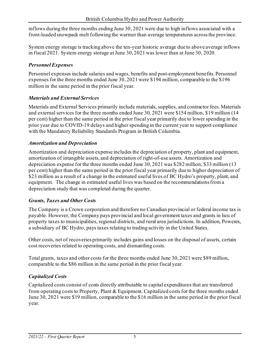inflows during the three months ending June 30, 2021 were due to high inflows associated with a front-loaded snowpack melt following the warmer than average temperatures across the province.

System energy storage is tracking above the ten-year historic average due to above average inflows in fiscal 2021. System energy storage at June 30, 2021 was lower than at June 30, 2020.

### *Personnel Expenses*

Personnel expenses include salaries and wages, benefits and post-employment benefits. Personnel expenses for the three months ended June 30, 2021 were \$194 million, comparable to the \$196 million in the same period in the prior fiscal year.

### *Materials and External Services*

Materials and External Services primarily include materials, supplies, and contractor fees. Materials and external services for the three months ended June 30, 2021 were \$154 million, \$19 million (14 per cent) higher than the same period in the prior fiscal year primarily due to lower spending in the prior year due to COVID-19 delays and higher spending in the current year to support compliance with the Mandatory Reliability Standards Program in British Columbia.

### *Amortization and Depreciation*

Amortization and depreciation expense includes the depreciation of property, plant and equipment, amortization of intangible assets, and depreciation of right-of-use assets. Amortization and depreciation expense for the three months ended June 30, 2021 was \$282 million, \$33 million (13 per cent) higher than the same period in the prior fiscal year primarily due to higher depreciation of \$23 million as a result of a change in the estimated useful lives of BC Hydro's property, plant, and equipment. The change in estimated useful lives was based on the recommendations from a depreciation study that was completed during the quarter.

### *Grants, Taxes and Other Costs*

The Company is a Crown corporation and therefore no Canadian provincial or federal income tax is payable. However, the Company pays provincial and local government taxes and grants in lieu of property taxes to municipalities, regional districts, and rural area jurisdictions. In addition, Powerex, a subsidiary of BC Hydro, pays taxes relating to trading activity in the United States.

Other costs, net of recoveries primarily includes gains and losses on the disposal of assets, certain cost recoveries related to operating costs, and dismantling costs.

Total grants, taxes and other costs for the three months ended June 30, 2021 were \$89 million, comparable to the \$86 million in the same period in the prior fiscal year.

### *Capitalized Costs*

Capitalized costs consist of costs directly attributable to capital expenditures that are transferred from operating costs to Property, Plant & Equipment. Capitalized costs for the three months ended June 30, 2021 were \$19 million, comparable to the \$16 million in the same period in the prior fiscal year.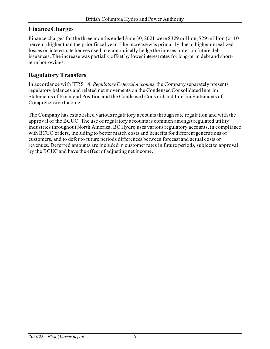## **Finance Charges**

Finance charges for the three months ended June 30, 2021 were \$329 million, \$29 million (or 10 percent) higher than the prior fiscal year. The increase was primarily due to higher unrealized losses on interest rate hedges used to economically hedge the interest rates on future debt issuances. The increase was partially offset by lower interest rates for long-term debt and shortterm borrowings.

## **Regulatory Transfers**

In accordance with IFRS 14, *Regulatory Deferral Accounts*, the Company separately presents regulatory balances and related net movements on the Condensed Consolidated Interim Statements of Financial Position and the Condensed Consolidated Interim Statements of Comprehensive Income.

The Company has established various regulatory accounts through rate regulation and with the approval of the BCUC. The use of regulatory accounts is common amongst regulated utility industries throughout North America. BC Hydro uses various regulatory accounts, in compliance with BCUC orders, including to better match costs and benefits for different generations of customers, and to defer to future periods differences between forecast and actual costs or revenues. Deferred amounts are included in customer rates in future periods, subject to approval by the BCUC and have the effect of adjusting net income.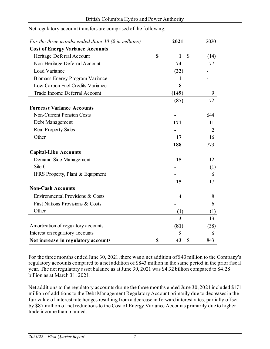| For the three months ended June 30 $(\$$ in millions) |             | 2021              | 2020           |
|-------------------------------------------------------|-------------|-------------------|----------------|
| <b>Cost of Energy Variance Accounts</b>               |             |                   |                |
| Heritage Deferral Account                             | $\mathbf S$ | $\mathbb{S}$<br>1 | (14)           |
| Non-Heritage Deferral Account                         |             | 74                | 77             |
| Load Variance                                         |             | (22)              |                |
| Biomass Energy Program Variance                       |             |                   |                |
| Low Carbon Fuel Credits Variance                      |             | 8                 |                |
| Trade Income Deferral Account                         |             | (149)             | 9              |
|                                                       |             | (87)              | 72             |
| <b>Forecast Variance Accounts</b>                     |             |                   |                |
| <b>Non-Current Pension Costs</b>                      |             |                   | 644            |
| Debt Management                                       |             | 171               | 111            |
| <b>Real Property Sales</b>                            |             |                   | $\overline{2}$ |
| Other                                                 |             | 17                | 16             |
|                                                       |             | 188               | 773            |
| <b>Capital-Like Accounts</b>                          |             |                   |                |
| Demand-Side Management                                |             | 15                | 12             |
| Site C                                                |             |                   | (1)            |
| IFRS Property, Plant & Equipment                      |             |                   | 6              |
|                                                       |             | 15                | 17             |
| <b>Non-Cash Accounts</b>                              |             |                   |                |
| Environmental Provisions & Costs                      |             | 4                 | 8              |
| First Nations Provisions & Costs                      |             |                   | 6              |
| Other                                                 |             | (1)               | (1)            |
|                                                       |             | 3                 | 13             |
| Amortization of regulatory accounts                   |             | (81)              | (38)           |
| Interest on regulatory accounts                       |             | 5                 | 6              |
| Net increase in regulatory accounts                   | $\mathbf S$ | 43<br>\$          | 843            |

#### Net regulatory account transfers are comprised of the following:

For the three months ended June 30, 2021, there was a net addition of \$43 million to the Company's regulatory accounts compared to a net addition of \$843 million in the same period in the prior fiscal year. The net regulatory asset balance as at June 30, 2021 was \$4.32 billion compared to \$4.28 billion as at March 31, 2021.

Net additions to the regulatory accounts during the three months ended June 30, 2021 included \$171 million of additions to the Debt Management Regulatory Account primarily due to decreases in the fair value of interest rate hedges resulting from a decrease in forward interest rates, partially offset by \$87 million of net reductions to the Cost of Energy Variance Accounts primarily due to higher trade income than planned.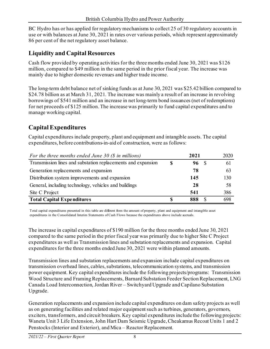BC Hydro has or has applied for regulatory mechanisms to collect 25 of 30 regulatory accounts in use or with balances at June 30, 2021 in rates over various periods, which represent approximately 86 per cent of the net regulatory asset balance.

## **Liquidity and Capital Resources**

Cash flow provided by operating activities for the three months ended June 30, 2021 was \$126 million, compared to \$49 million in the same period in the prior fiscal year. The increase was mainly due to higher domestic revenues and higher trade income.

The long-term debt balance net of sinking funds as at June 30, 2021 was \$25.42 billion compared to \$24.78 billion as at March 31, 2021. The increase was mainly a result of an increase in revolving borrowings of \$541 million and an increase in net long-term bond issuances (net of redemptions) for net proceeds of \$125 million. The increase was primarily to fund capital expenditures and to manage working capital.

## **Capital Expenditures**

Capital expenditures include property, plant and equipment and intangible assets. The capital expenditures, before contributions-in-aid of construction, were as follows:

| For the three months ended June 30 $(\$$ in millions)        |    | 2021     | 2020 |
|--------------------------------------------------------------|----|----------|------|
| Transmission lines and substation replacements and expansion | -S | 96       | 61   |
| Generation replacements and expansion                        |    | 78       | 63   |
| Distribution system improvements and expansion               |    | 145      | 130  |
| General, including technology, vehicles and buildings        |    | 28       | 58   |
| Site C Project                                               |    | 541      | 386  |
| <b>Total Capital Expenditures</b>                            |    | 888<br>S | 698  |

Total capital expenditures presented in this table are different from the amount of property, plant and equipment and intangible asset expenditures in the Consolidated Interim Statements of Cash Flows because the expenditures above include accruals.

The increase in capital expenditures of \$190 million for the three months ended June 30, 2021 compared to the same period in the prior fiscal year was primarily due to higher Site C Project expenditures as well as Transmission lines and substation replacements and expansion. Capital expenditures for the three months ended June 30, 2021 were within planned amounts.

Transmission lines and substation replacements and expansion include capital expenditures on transmission overhead lines, cables, substations, telecommunication systems, and transmission power equipment. Key capital expenditures include the following projects/programs: Transmission Wood Structure and Framing Replacements, Barnard Substation Feeder Section Replacement, LNG Canada Load Interconnection, Jordan River – Switchyard Upgrade and Capilano Substation Upgrade.

Generation replacements and expansion include capital expenditures on dam safety projects as well as on generating facilities and related major equipment such as turbines, generators, governors, exciters, transformers, and circuit breakers. Key capital expenditures include the following projects: Waneta Unit 3 Life Extension, John Hart Dam Seismic Upgrade, Cheakamus Recoat Units 1 and 2 Penstocks (Interior and Exterior), and Mica – Reactor Replacement.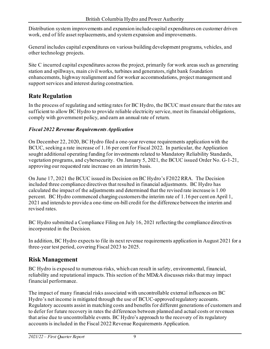Distribution system improvements and expansion include capital expenditures on customer driven work, end of life asset replacements, and system expansion and improvements.

General includes capital expenditures on various building development programs, vehicles, and other technology projects.

Site C incurred capital expenditures across the project, primarily for work areas such as generating station and spillways, main civil works, turbines and generators, right bank foundation enhancements, highway realignment and for worker accommodations, project management and support services and interest during construction.

## **Rate Regulation**

In the process of regulating and setting rates for BC Hydro, the BCUC must ensure that the rates are sufficient to allow BC Hydro to provide reliable electricity service, meet its financial obligations, comply with government policy, and earn an annual rate of return.

### *Fiscal 2022 Revenue Requirements Application*

On December 22, 2020, BC Hydro filed a one-year revenue requirements application with the BCUC, seeking a rate increase of 1.16 per cent for Fiscal 2022. In particular, the Application sought additional operating funding for investments related to Mandatory Reliability Standards, vegetation programs, and cybersecurity. On January 5, 2021, the BCUC issued Order No. G-1-21, approving our requested rate increase on an interim basis.

On June 17, 2021 the BCUC issued its Decision on BC Hydro's F2022 RRA. The Decision included three compliance directives that resulted in financial adjustments. BC Hydro has calculated the impact of the adjustments and determined that the revised rate increase is 1.00 percent. BC Hydro commenced charging customers the interim rate of 1.16 per cent on April 1, 2021 and intends to provide a one-time on-bill credit for the difference between the interim and revised rates.

BC Hydro submitted a Compliance Filing on July 16, 2021 reflecting the compliance directives incorporated in the Decision.

In addition, BC Hydro expects to file its next revenue requirements application in August 2021 for a three-year test period, covering Fiscal 2023 to 2025.

## **Risk Management**

BC Hydro is exposed to numerous risks, which can result in safety, environmental, financial, reliability and reputational impacts. This section of the MD&A discusses risks that may impact financial performance.

The impact of many financial risks associated with uncontrollable external influences on BC Hydro's net income is mitigated through the use of BCUC-approved regulatory accounts. Regulatory accounts assist in matching costs and benefits for different generations of customers and to defer for future recovery in rates the differences between planned and actual costs or revenues that arise due to uncontrollable events. BC Hydro's approach to the recovery of its regulatory accounts is included in the Fiscal 2022 Revenue Requirements Application.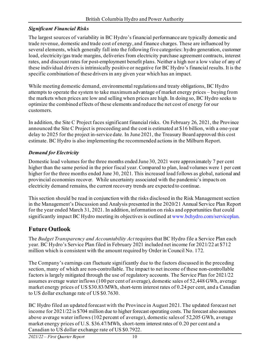### *Significant Financial Risks*

The largest sources of variability in BC Hydro's financial performance are typically domestic and trade revenue, domestic and trade cost of energy, and finance charges. These are influenced by several elements, which generally fall into the following five categories: hydro generation, customer load, electricity/gas trade margins, deliveries from electricity purchase agreement contracts, interest rates, and discount rates for post-employment benefit plans. Neither a high nor a low value of any of these individual drivers is intrinsically positive or negative for BC Hydro's financial results. It is the specific combination of these drivers in any given year which has an impact.

While meeting domestic demand, environmental regulations and treaty obligations, BC Hydro attempts to operate the system to take maximum advantage of market energy prices – buying from the markets when prices are low and selling when prices are high. In doing so, BC Hydro seeks to optimize the combined effects of these elements and reduce the net cost of energy for our customers.

In addition, the Site C Project faces significant financial risks. On February 26, 2021, the Province announced the Site C Project is proceeding and the cost is estimated at \$16 billion, with a one-year delay to 2025 for the project in-service date. In June 2021, the Treasury Board approved this cost estimate. BC Hydro is also implementing the recommended actions in the Milburn Report.

### *Demand for Electricity*

Domestic load volumes for the three months ended June 30, 2021 were approximately 7 per cent higher than the same period in the prior fiscal year. Compared to plan, load volumes were 1 per cent higher for the three months ended June 30, 2021. This increased load follows as global, national and provincial economies recover. While uncertainty associated with the pandemic's impacts on electricity demand remains, the current recovery trends are expected to continue.

This section should be read in conjunction with the risks disclosed in the Risk Management section in the Management's Discussion and Analysis presented in the 2020/21 Annual Service Plan Report for the year ended March 31, 2021. In addition, information on risks and opportunities that could significantly impact BC Hydro meeting its objectives is outlined a[t www.bchydro.com/serviceplan.](http://www.bchydro.com/serviceplan)

## **Future Outlook**

The *Budget Transparency and Accountability Act* requires that BC Hydro file a Service Plan each year. BC Hydro's Service Plan filed in February 2021 included net income for 2021/22 at \$712 million which is consistent with the amount required by Order in Council No. 172.

The Company's earnings can fluctuate significantly due to the factors discussed in the preceding section, many of which are non-controllable. The impact to net income of these non-controllable factors is largely mitigated through the use of regulatory accounts. The Service Plan for 2021/22 assumes average water inflows (100 per cent of average), domestic sales of 52,448 GWh, average market energy prices of US \$30.83/MWh, short-term interest rates of 0.24 per cent, and a Canadian to US dollar exchange rate of US \$0.7630.

BC Hydro filed an updated forecast with the Province in August 2021. The updated forecast net income for 2021/22 is \$704 million due to higher forecast operating costs. The forecast also assumes above average water inflows (102 percent of average), domestic sales of 52,205 GWh, average market energy prices of U.S. \$36.47/MWh, short-term interest rates of 0.20 per cent and a Canadian to US dollar exchange rate of US \$0.7922.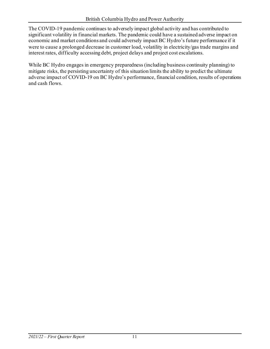The COVID-19 pandemic continues to adversely impact global activity and has contributed to significant volatility in financial markets. The pandemic could have a sustained adverse impact on economic and market conditions and could adversely impact BC Hydro's future performance if it were to cause a prolonged decrease in customer load, volatility in electricity/gas trade margins and interest rates, difficulty accessing debt, project delays and project cost escalations.

While BC Hydro engages in emergency preparedness (including business continuity planning) to mitigate risks, the persisting uncertainty of this situation limits the ability to predict the ultimate adverse impact of COVID-19 on BC Hydro's performance, financial condition, results of operations and cash flows.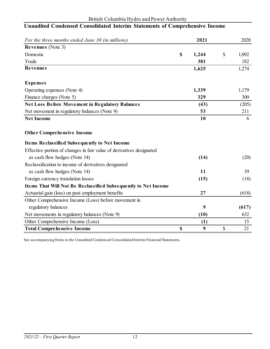#### British Columbia Hydro and Power Authority

| For the three months ended June 30 (in millions)                     |                           | 2021  | 2020        |
|----------------------------------------------------------------------|---------------------------|-------|-------------|
| <b>Revenues</b> (Note 3)                                             |                           |       |             |
| Domestic                                                             | $\boldsymbol{\mathsf{S}}$ | 1,244 | \$<br>1,092 |
| Trade                                                                |                           | 381   | 182         |
| <b>Revenues</b>                                                      |                           | 1,625 | 1,274       |
| <b>Expenses</b>                                                      |                           |       |             |
| Operating expenses (Note 4)                                          |                           | 1,339 | 1,179       |
| Finance charges (Note 5)                                             |                           | 329   | 300         |
| <b>Net Loss Before Movement in Regulatory Balances</b>               |                           | (43)  | (205)       |
| Net movement in regulatory balances (Note 9)                         |                           | 53    | 211         |
| <b>Net Income</b>                                                    |                           | 10    | 6           |
| <b>Other Comprehensive Income</b>                                    |                           |       |             |
| <b>Items Reclassified Subsequently to Net Income</b>                 |                           |       |             |
| Effective portion of changes in fair value of derivatives designated |                           |       |             |
| as cash flow hedges (Note 14)                                        |                           | (14)  | (20)        |
| Reclassification to income of derivatives designated                 |                           |       |             |
| as cash flow hedges (Note 14)                                        |                           | 11    | 39          |
| Foreign currency translation losses                                  |                           | (15)  | (18)        |
| Items That Will Not Be Reclassified Subsequently to Net Income       |                           |       |             |
| Actuarial gain (loss) on post employment benefits                    |                           | 27    | (618)       |
| Other Comprehensive Income (Loss) before movement in                 |                           |       |             |
| regulatory balances                                                  |                           | 9     | (617)       |
| Net movements in regulatory balances (Note 9)                        |                           | (10)  | 632         |
| Other Comprehensive Income (Loss)                                    |                           | (1)   | 15          |
| <b>Total Comprehensive Income</b>                                    | $\boldsymbol{\mathsf{S}}$ | 9     | \$<br>21    |

## **Unaudited Condensed Consolidated Interim Statements of Comprehensive Income**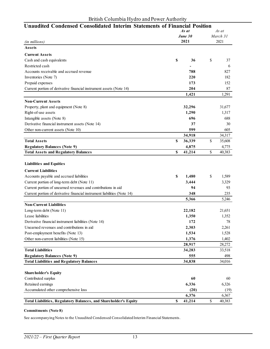| Unaudited Condensed Consolidated Interim Statements of Financial Position | As at        |          | As at  |  |
|---------------------------------------------------------------------------|--------------|----------|--------|--|
|                                                                           | June 30      | March 31 |        |  |
| (in millions)                                                             | 2021         |          | 2021   |  |
| Assets                                                                    |              |          |        |  |
| <b>Current Assets</b>                                                     |              |          |        |  |
| Cash and cash equivalents                                                 | \$<br>36     | \$       | 37     |  |
| Restricted cash                                                           |              |          | 6      |  |
| Accounts receivable and accrued revenue                                   | 788          |          | 827    |  |
| Inventories (Note 7)                                                      | 220          |          | 182    |  |
| Prepaid expenses                                                          | 173          |          | 152    |  |
| Current portion of derivative financial instrument assets (Note 14)       | 204          |          | 87     |  |
|                                                                           | 1,421        |          | 1,291  |  |
| <b>Non-Current Assets</b>                                                 |              |          |        |  |
| Property, plant and equipment (Note 8)                                    | 32,296       |          | 31,677 |  |
| Right-of-use assets                                                       | 1,290        |          | 1,317  |  |
| Intangible assets (Note 8)                                                | 696          |          | 688    |  |
| Derivative financial instrument assets (Note 14)                          | 37           |          | 30     |  |
| Other non-current assets (Note 10)                                        | 599          |          | 605    |  |
|                                                                           | 34,918       |          | 34,317 |  |
| <b>Total Assets</b>                                                       | \$<br>36,339 | \$       | 35,608 |  |
| <b>Regulatory Balances (Note 9)</b>                                       | 4,875        |          | 4,775  |  |
| <b>Total Assets and Regulatory Balances</b>                               | \$<br>41,214 | \$       | 40,383 |  |
| <b>Liabilities and Equities</b><br><b>Current Liabilities</b>             |              |          |        |  |
| Accounts payable and accrued liabilities                                  | \$<br>1,480  | \$       | 1,589  |  |
| Current portion of long-term debt (Note 11)                               | 3,444        |          | 3,329  |  |
| Current portion of unearned revenues and contributions in aid             | 94           |          | 93     |  |
| Current portion of derivative financial instrument liabilities (Note 14)  | 348          |          | 235    |  |
|                                                                           | 5,366        |          | 5,246  |  |
| <b>Non-Current Liabilities</b>                                            |              |          |        |  |
| Long-term debt (Note 11)                                                  | 22,182       |          | 21,651 |  |
| Lease liabilities                                                         | 1,350        |          | 1,352  |  |
| Derivative financial instrument liabilities (Note 14)                     | 172          |          | 78     |  |
| Unearned revenues and contributions in aid                                | 2,303        |          | 2,261  |  |
| Post-employment benefits (Note 13)                                        | 1,534        |          | 1,528  |  |
| Other non-current liabilities (Note 15)                                   | 1,376        |          | 1,402  |  |
|                                                                           | 28,917       |          | 28,272 |  |
| <b>Total Liabilities</b>                                                  | 34,283       |          | 33,518 |  |
| <b>Regulatory Balances (Note 9)</b>                                       | 555          |          | 498    |  |
| <b>Total Liabilities and Regulatory Balances</b>                          | 34,838       |          | 34,016 |  |
| <b>Shareholder's Equity</b>                                               |              |          |        |  |
| Contributed surplus                                                       | 60           |          | 60     |  |
| Retained earnings                                                         | 6,336        |          | 6,326  |  |
| Accumulated other comprehensive loss                                      | (20)         |          | (19)   |  |
|                                                                           | 6,376        |          | 6,367  |  |
| Total Liabilities, Regulatory Balances, and Shareholder's Equity          | \$<br>41,214 | \$       | 40,383 |  |

#### **Commitments (Note 8)**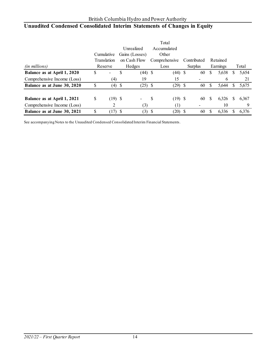## **Unaudited Condensed Consolidated Interim Statements of Changes in Equity**

|                             |    |             |      |                |   | Total            |      |             |   |          |   |       |
|-----------------------------|----|-------------|------|----------------|---|------------------|------|-------------|---|----------|---|-------|
|                             |    |             |      | Unrealized     |   | Accumulated      |      |             |   |          |   |       |
|                             |    | Cumulative  |      | Gains (Losses) |   | Other            |      |             |   |          |   |       |
|                             |    | Translation |      | on Cash Flow   |   | Comprehensive    |      | Contributed |   | Retained |   |       |
| (in millions)               |    | Reserve     |      | Hedges         |   | Loss             |      | Surplus     |   | Earnings |   | Total |
| Balance as at April 1, 2020 | \$ |             | \$   | $(44)$ \$      |   | (44)             | - \$ | 60          | S | 5,638    | S | 5,654 |
| Comprehensive Income (Loss) |    | (4)         |      | 19             |   | 15               |      |             |   | 6        |   | 21    |
| Balance as at June 30, 2020 |    | (4)         | - \$ | $(25)$ \$      |   | (29)             | - \$ | 60          | S | 5,644    | S | 5,675 |
|                             |    |             |      |                |   |                  |      |             |   |          |   |       |
| Balance as at April 1, 2021 | \$ | $(19)$ \$   |      |                | S | $(19)$ \$        |      | 60          | S | 6,326    | S | 6,367 |
| Comprehensive Income (Loss) |    |             |      | (3)            |   | $\left(1\right)$ |      |             |   | 10       |   | 9     |
| Balance as at June 30, 2021 | S  | (17)        | -S   | $(3)$ \$       |   | (20)             |      | 60          |   | 6,336    |   | 6,376 |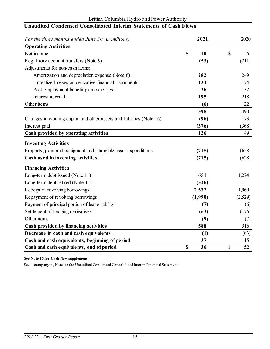| For the three months ended June 30 (in millions)                      | 2021     | 2020     |
|-----------------------------------------------------------------------|----------|----------|
| <b>Operating Activities</b>                                           |          |          |
| Net income                                                            | \$<br>10 | \$<br>6  |
| Regulatory account transfers (Note 9)                                 | (53)     | (211)    |
| Adjustments for non-cash items:                                       |          |          |
| Amortization and depreciation expense (Note 6)                        | 282      | 249      |
| Unrealized losses on derivative financial instruments                 | 134      | 174      |
| Post-employment benefit plan expenses                                 | 36       | 32       |
| Interest accrual                                                      | 195      | 218      |
| Other items                                                           | (6)      | 22       |
|                                                                       | 598      | 490      |
| Changes in working capital and other assets and liabilities (Note 16) | (96)     | (73)     |
| Interest paid                                                         | (376)    | (368)    |
| Cash provided by operating activities                                 | 126      | 49       |
| <b>Investing Activities</b>                                           |          |          |
| Property, plant and equipment and intangible asset expenditures       | (715)    | (628)    |
| Cash used in investing activities                                     | (715)    | (628)    |
| <b>Financing Activities</b>                                           |          |          |
| Long-term debt issued (Note 11)                                       | 651      | 1,274    |
| Long-term debt retired (Note 11)                                      | (526)    |          |
| Receipt of revolving borrowings                                       | 2,532    | 1,960    |
| Repayment of revolving borrowings                                     | (1,990)  | (2,529)  |
| Payment of principal portion of lease liability                       | (7)      | (6)      |
| Settlement of hedging derivatives                                     | (63)     | (176)    |
| Other items                                                           | (9)      | (7)      |
| Cash provided by financing activities                                 | 588      | 516      |
| Decrease in cash and cash equivalents                                 | (1)      | (63)     |
| Cash and cash equivalents, beginning of period                        | 37       | 115      |
| Cash and cash equivalents, end of period                              | \$<br>36 | \$<br>52 |

#### British Columbia Hydro and Power Authority **Unaudited Condensed Consolidated Interim Statements of Cash Flows**

**See Note 16 for Cash flow supplement**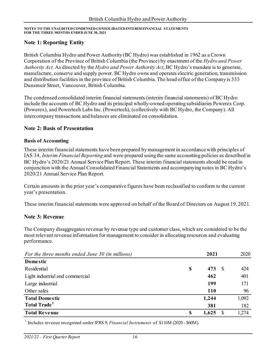#### **Note 1: Reporting Entity**

British Columbia Hydro and Power Authority (BC Hydro) was established in 1962 as a Crown Corporation of the Province of British Columbia (the Province) by enactment of the *Hydro and Power Authority Act*. As directed by the *Hydro and Power Authority Act*, BC Hydro's mandate is to generate, manufacture, conserve and supply power. BC Hydro owns and operates electric generation, transmission and distribution facilities in the province of British Columbia. The head office of the Company is 333 Dunsmuir Street, Vancouver, British Columbia.

The condensed consolidated interim financial statements (interim financial statements) of BC Hydro include the accounts of BC Hydro and its principal wholly-owned operating subsidiaries Powerex Corp. (Powerex), and Powertech Labs Inc.(Powertech), (collectively with BC Hydro, the Company). All intercompany transactions and balances are eliminated on consolidation.

#### **Note 2: Basis of Presentation**

#### **Basis of Accounting**

These interim financial statements have been prepared by management in accordance with principles of IAS 34, *Interim Financial Reporting* and were prepared using the same accounting policies as described in BC Hydro's 2020/21 Annual Service Plan Report. These interim financial statements should be read in conjunction with the Annual Consolidated Financial Statements and accompanying notes in BC Hydro's 2020/21 Annual Service Plan Report.

Certain amounts in the prior year's comparative figures have been reclassified to conform to the current year's presentation.

These interim financial statements were approved on behalf of the Board of Directors on August 19, 2021.

#### **Note 3: Revenue**

The Company disaggregates revenue by revenue type and customer class, which are considered to be the most relevant revenue information for management to consider in allocating resources and evaluating performance.

| For the three months ended June 30 (in millions) |    | 2021       | 2020  |
|--------------------------------------------------|----|------------|-------|
| <b>Domestic</b>                                  |    |            |       |
| Residential                                      | \$ | 473<br>- 8 | 424   |
| Light industrial and commercial                  |    | 462        | 401   |
| Large industrial                                 |    | 199        | 171   |
| Other sales                                      |    | <b>110</b> | 96    |
| <b>Total Domestic</b>                            |    | 1,244      | 1,092 |
| Total Trade <sup>1</sup>                         |    | 381        | 182   |
| <b>Total Revenue</b>                             | S  | 1,625      | 1,274 |

<sup>1</sup> Includes revenue recognized under IFRS 9, *Financial Instruments* of \$116M (2020 - \$60M).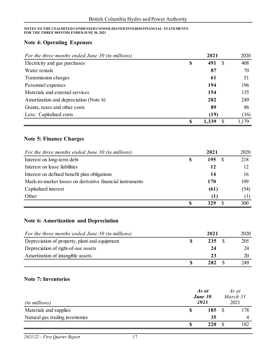#### **Note 4: Operating Expenses**

| For the three months ended June 30 (in millions) |    | 2021     | 2020  |
|--------------------------------------------------|----|----------|-------|
| Electricity and gas purchases                    | \$ | 491<br>S | 408   |
| Water rentals                                    |    | 87       | 70    |
| Transmission charges                             |    | 61       | 51    |
| Personnel expenses                               |    | 194      | 196   |
| Materials and external services                  |    | 154      | 135   |
| Amortization and depreciation (Note 6)           |    | 282      | 249   |
| Grants, taxes and other costs                    |    | 89       | 86    |
| Less: Capitalized costs                          |    | (19)     | (16)  |
|                                                  | S  | 1,339    | 1.179 |

### **Note 5: Finance Charges**

| For the three months ended June 30 (in millions)          |   | 2021 | 2020 |
|-----------------------------------------------------------|---|------|------|
| Interest on long-term debt                                | S | 195  | 218  |
| Interest on lease liabilities                             |   | 12   | 12   |
| Interest on defined benefit plan obligations              |   | 14   | 16   |
| Mark-to-market losses on derivative financial instruments |   | 170  | 109  |
| Capitalized interest                                      |   | (61) | (54) |
| Other                                                     |   | (1)  | (1)  |
|                                                           |   | 329  | 300  |

#### **Note 6: Amortization and Depreciation**

| For the three months ended June 30 (in millions) | 2021 | 2020 |
|--------------------------------------------------|------|------|
| Depreciation of property, plant and equipment    | 235  | 205  |
| Depreciation of right-of-use assets              | 24   | 24   |
| Amortization of intangible assets                | 23   | 20   |
|                                                  | 282  | 249  |

#### **Note 7: Inventories**

| <i>(in millions)</i>            | As at<br>June 30<br>2021 | As at<br>March 31<br>2021 |     |  |
|---------------------------------|--------------------------|---------------------------|-----|--|
| Materials and supplies          | 185                      |                           | 178 |  |
| Natural gas trading inventories | 35                       |                           | 4   |  |
|                                 | 220                      |                           | 182 |  |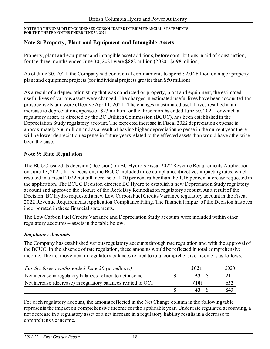### **Note 8: Property, Plant and Equipment and Intangible Assets**

Property, plant and equipment and intangible asset additions, before contributions in aid of construction, for the three months ended June 30, 2021 were \$888 million (2020 - \$698 million).

As of June 30, 2021, the Company had contractual commitments to spend \$2.04 billion on major property, plant and equipment projects (for individual projects greater than \$50 million).

As a result of a depreciation study that was conducted on property, plant and equipment, the estimated useful lives of various assets were changed. The changes in estimated useful lives have been accounted for prospectively and were effective April 1, 2021. The changes in estimated useful lives resulted in an increase to depreciation expense of \$23 million for the three months ended June 30, 2021 for which a regulatory asset, as directed by the BC Utilities Commission (BCUC), has been established in the Depreciation Study regulatory account. The expected increase in Fiscal 2022 depreciation expense is approximately \$36 million and as a result of having higher depreciation expense in the current year there will be lower depreciation expense in future yearsrelated to the effected assets than would have otherwise been the case.

#### **Note 9: Rate Regulation**

The BCUC issued its decision (Decision) on BC Hydro's Fiscal 2022 Revenue Requirements Application on June 17, 2021. In its Decision, the BCUC included three compliance directives impacting rates, which resulted in a Fiscal 2022 net bill increase of 1.00 per cent rather than the 1.16 per cent increase requested in the application. The BCUC Decision directed BC Hydro to establish a new Depreciation Study regulatory account and approved the closure of the Rock Bay Remediation regulatory account. As a result of the Decision, BC Hydro requested a new Low Carbon Fuel Credits Variance regulatory account in the Fiscal 2022 Revenue Requirements Application Compliance Filing. The financial impact of the Decision has been incorporated in these financial statements.

The Low Carbon Fuel Credits Variance and Depreciation Study accounts were included within other regulatory accounts – assets in the table below.

#### *Regulatory Accounts*

The Company has established various regulatory accounts through rate regulation and with the approval of the BCUC. In the absence of rate regulation, these amounts would be reflected in total comprehensive income. The net movement in regulatory balances related to total comprehensive income is as follows:

| For the three months ended June 30 (in millions)              | 2021 | 2020 |
|---------------------------------------------------------------|------|------|
| Net increase in regulatory balances related to net income     | 53 S | 211  |
| Net increase (decrease) in regulatory balances related to OCI | (10) | 632  |
|                                                               | 43 S | 843  |

For each regulatory account, the amount reflected in the Net Change column in the following table represents the impact on comprehensive income for the applicable year. Under rate regulated accounting, a net decrease in a regulatory asset or a net increase in a regulatory liability results in a decrease to comprehensive income.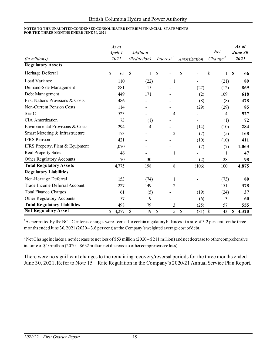| (in millions)                       | As at<br>April 1<br>2021 | <b>Addition</b><br>(Reduction) | Interest <sup>1</sup> | Amortization                           | Net<br>Change <sup>2</sup> | As at<br>June 30<br>2021 |
|-------------------------------------|--------------------------|--------------------------------|-----------------------|----------------------------------------|----------------------------|--------------------------|
| <b>Regulatory Assets</b>            |                          |                                |                       |                                        |                            |                          |
| Heritage Deferral                   | \$<br>65                 | $\mathcal{S}$<br>1             | $\mathcal{S}$         | \$                                     | \$<br>1                    | $\mathbf S$<br>66        |
| Load Variance                       | 110                      | (22)                           | 1                     |                                        | (21)                       | 89                       |
| Demand-Side Management              | 881                      | 15                             |                       | (27)                                   | (12)                       | 869                      |
| Debt Management                     | 449                      | 171                            |                       | (2)                                    | 169                        | 618                      |
| First Nations Provisions & Costs    | 486                      |                                |                       | (8)                                    | (8)                        | 478                      |
| <b>Non-Current Pension Costs</b>    | 114                      |                                |                       | (29)                                   | (29)                       | 85                       |
| Site C                              | 523                      |                                | 4                     |                                        | 4                          | 527                      |
| <b>CIA</b> Amortization             | 73                       | (1)                            |                       |                                        | (1)                        | 72                       |
| Environmental Provisions & Costs    | 294                      | 4                              |                       | (14)                                   | (10)                       | 284                      |
| Smart Metering & Infrastructure     | 173                      |                                | 2                     | (7)                                    | (5)                        | 168                      |
| <b>IFRS</b> Pension                 | 421                      |                                |                       | (10)                                   | (10)                       | 411                      |
| IFRS Property, Plant & Equipment    | 1,070                    |                                |                       | (7)                                    | (7)                        | 1,063                    |
| <b>Real Property Sales</b>          | 46                       |                                | 1                     |                                        | 1                          | 47                       |
| Other Regulatory Accounts           | 70                       | 30                             |                       | (2)                                    | 28                         | 98                       |
| <b>Total Regulatory Assets</b>      | 4,775                    | 198                            | 8                     | (106)                                  | 100                        | 4,875                    |
| <b>Regulatory Liabilities</b>       |                          |                                |                       |                                        |                            |                          |
| Non-Heritage Deferral               | 153                      | (74)                           | 1                     |                                        | (73)                       | 80                       |
| Trade Income Deferral Account       | 227                      | 149                            | $\overline{2}$        |                                        | 151                        | 378                      |
| <b>Total Finance Charges</b>        | 61                       | (5)                            |                       | (19)                                   | (24)                       | 37                       |
| Other Regulatory Accounts           | 57                       | 9                              |                       | (6)                                    | 3                          | 60                       |
| <b>Total Regulatory Liabilities</b> | 498                      | 79                             | 3                     | (25)                                   | 57                         | 555                      |
| <b>Net Regulatory Asset</b>         | \$<br>4,277              | \$<br>119                      | \$<br>5               | $\boldsymbol{\mathsf{S}}$<br>$(81)$ \$ | 43                         | 4,320<br>\$              |

<sup>1</sup>As permitted by the BCUC, interest charges were accrued to certain regulatory balances at a rate of 3.2 per cent for the three months ended June 30, 2021 (2020– 3.6 per cent) at the Company's weighted average cost of debt.

<sup>2</sup> Net Change includes a net decrease to net loss of \$53 million (2020–\$211 million) and net decrease to other comprehensive income of \$10million (2020 – \$632million net decrease to other comprehensive loss).

There were no significant changes to the remaining recovery/reversal periods for the three months ended June 30, 2021. Refer to Note 15 – Rate Regulation in the Company's 2020/21 Annual Service Plan Report.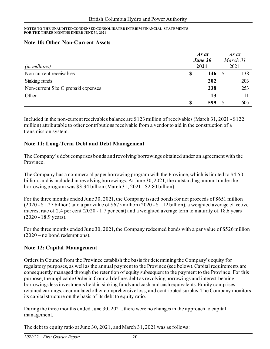#### **Note 10: Other Non-Current Assets**

| (in millions)                       | As at<br>June 30<br>2021 |             |  | As at<br>March 31<br>2021 |  |  |
|-------------------------------------|--------------------------|-------------|--|---------------------------|--|--|
| Non-current receivables             | \$                       | 146 $\sqrt$ |  | 138                       |  |  |
| Sinking funds                       |                          | 202         |  | 203                       |  |  |
| Non-current Site C prepaid expenses |                          | 238         |  | 253                       |  |  |
| Other                               |                          | 13          |  |                           |  |  |
|                                     | S                        | 599         |  | 605                       |  |  |

Included in the non-current receivables balance are \$123 million of receivables (March 31, 2021 - \$122 million) attributable to other contributions receivable from a vendor to aid in the construction of a transmission system.

#### **Note 11: Long-Term Debt and Debt Management**

The Company's debt comprises bonds and revolving borrowings obtained under an agreement with the Province.

The Company has a commercial paper borrowing program with the Province, which is limited to \$4.50 billion, and is included in revolving borrowings. At June 30, 2021, the outstanding amount under the borrowing program was \$3.34 billion (March 31, 2021 - \$2.80 billion).

For the three months ended June 30, 2021, the Company issued bonds for net proceeds of \$651 million (2020 - \$1.27 billion) and a par value of \$675 million (2020 - \$1.12 billion), a weighted average effective interest rate of 2.4 per cent (2020 - 1.7 per cent) and a weighted average term to maturity of 18.6 years (2020 - 18.9 years).

For the three months ended June 30, 2021, the Company redeemed bonds with a par value of \$526 million (2020 – no bond redemptions).

#### **Note 12: Capital Management**

Orders in Council from the Province establish the basis for determining the Company's equity for regulatory purposes, as well as the annual payment to the Province (see below). Capital requirements are consequently managed through the retention of equity subsequent to the payment to the Province. For this purpose, the applicable Order in Council defines debt as revolving borrowings and interest-bearing borrowings less investments held in sinking funds and cash and cash equivalents. Equity comprises retained earnings, accumulated other comprehensive loss, and contributed surplus. The Company monitors its capital structure on the basis of its debt to equity ratio.

During the three months ended June 30, 2021, there were no changes in the approach to capital management.

The debt to equity ratio at June 30, 2021, and March 31, 2021 was as follows: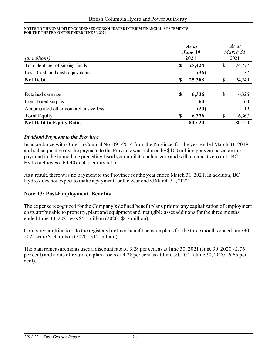|                                      |    | As at   |                  |        |  |
|--------------------------------------|----|---------|------------------|--------|--|
|                                      |    | June 30 | March 31<br>2021 |        |  |
| (in millions)                        |    | 2021    |                  |        |  |
| Total debt, net of sinking funds     | \$ | 25,424  | \$               | 24,777 |  |
| Less: Cash and cash equivalents      |    | (36)    |                  | (37)   |  |
| <b>Net Debt</b>                      | S  | 25,388  | \$               | 24,740 |  |
|                                      |    |         |                  |        |  |
| Retained earnings                    | \$ | 6,336   | \$               | 6,326  |  |
| Contributed surplus                  |    | 60      |                  | 60     |  |
| Accumulated other comprehensive loss |    | (20)    |                  | (19)   |  |
| <b>Total Equity</b>                  |    | 6,376   | S                | 6,367  |  |
| <b>Net Debt to Equity Ratio</b>      |    | 80:20   |                  | 80:20  |  |

#### *Dividend Payment to the Province*

In accordance with Order in Council No. 095/2014 from the Province, for the year ended March 31, 2018 and subsequent years, the payment to the Province was reduced by \$100 million per year based on the payment in the immediate preceding fiscal year until it reached zero and will remain at zero until BC Hydro achieves a 60:40 debt to equity ratio.

As a result, there was no payment to the Province for the year ended March 31, 2021. In addition, BC Hydro does not expect to make a payment for the year ended March 31, 2022.

#### **Note 13: Post-Employment Benefits**

The expense recognized for the Company's defined benefit plans prior to any capitalization of employment costs attributable to property, plant and equipment and intangible asset additions for the three months ended June 30, 2021 was \$51 million (2020 - \$47 million).

Company contributions to the registered defined benefit pension plans for the three months ended June 30, 2021 were \$13 million (2020 - \$12 million).

The plan remeasurements used a discount rate of 3.28 per cent as at June 30, 2021 (June 30, 2020 - 2.76 per cent) and a rate of return on plan assets of 4.28 per cent as at June 30, 2021 (June 30, 2020 - 6.65 per cent).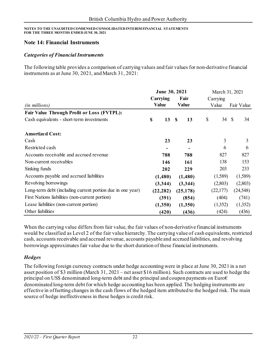#### **Note 14: Financial Instruments**

#### *Categories of Financial Instruments*

The following table provides a comparison of carrying values and fair values for non-derivative financial instruments as at June 30, 2021, and March 31, 2021:

|                                                            | June 30, 2021 |  |                    | March 31, 2021 |          |  |            |
|------------------------------------------------------------|---------------|--|--------------------|----------------|----------|--|------------|
|                                                            | Carrying      |  | Fair               |                | Carrying |  |            |
| <i>(in millions)</i>                                       | <b>Value</b>  |  | <b>Value</b>       |                | Value    |  | Fair Value |
| <b>Fair Value Through Profit or Loss (FVTPL):</b>          |               |  |                    |                |          |  |            |
| Cash equivalents - short-term investments                  | \$<br>13      |  | $\mathbf{s}$<br>13 | \$             | 34 \$    |  | 34         |
| <b>Amortized Cost:</b>                                     |               |  |                    |                |          |  |            |
| Cash                                                       | 23            |  | 23                 |                | 3        |  | 3          |
| Restricted cash                                            |               |  |                    |                | 6        |  | 6          |
| Accounts receivable and accrued revenue                    | 788           |  | 788                |                | 827      |  | 827        |
| Non-current receivables                                    | 146           |  | 161                |                | 138      |  | 153        |
| Sinking funds                                              | 202           |  | 229                |                | 203      |  | 233        |
| Accounts payable and accrued liabilities                   | (1,480)       |  | (1,480)            |                | (1,589)  |  | (1,589)    |
| Revolving borrowings                                       | (3,344)       |  | (3,344)            |                | (2,803)  |  | (2,803)    |
| Long-term debt (including current portion due in one year) | (22, 282)     |  | (25, 178)          |                | (22,177) |  | (24, 548)  |
| First Nations liabilities (non-current portion)            | (391)         |  | (854)              |                | (404)    |  | (741)      |
| Lease liabilities (non-current portion)                    | (1,350)       |  | (1,350)            |                | (1,352)  |  | (1,352)    |
| Other liabilities                                          | (420)         |  | (436)              |                | (424)    |  | (436)      |

When the carrying value differs from fair value, the fair values of non-derivative financial instruments would be classified as Level 2 of the fair value hierarchy. The carrying value of cash equivalents, restricted cash, accounts receivable and accrued revenue, accounts payable and accrued liabilities, and revolving borrowings approximates fair value due to the short duration of these financial instruments.

#### *Hedges*

The following foreign currency contracts under hedge accounting were in place at June 30, 2021 in a net asset position of \$3 million (March 31, 2021 – net asset \$16 million). Such contracts are used to hedge the principal on US\$ denominated long-term debt and the principal and coupon payments on Euro $\epsilon$ denominated long-term debt for which hedge accounting has been applied. The hedging instruments are effective in offsetting changes in the cash flows of the hedged item attributed to the hedged risk. The main source of hedge ineffectiveness in these hedges is credit risk.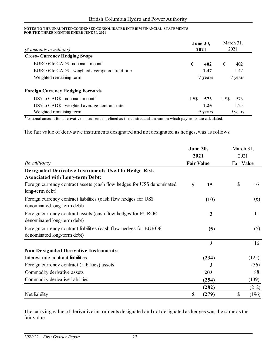| (\$ amounts in millions)                                  | <b>June 30,</b><br>2021 |             |
|-----------------------------------------------------------|-------------------------|-------------|
| <b>Cross-Currency Hedging Swaps</b>                       |                         |             |
| EURO $\epsilon$ to CADS- notional amount <sup>1</sup>     | €<br>402                | €<br>402    |
| EURO $\epsilon$ to CAD\$ - weighted average contract rate | 1.47                    | 1.47        |
| Weighted remaining term                                   | 7 years                 | 7 years     |
| <b>Foreign Currency Hedging Forwards</b>                  |                         |             |
| US\$ to CAD\$ - notional amount <sup>1</sup>              | US\$<br>573             | US\$<br>573 |
| US\$ to CAD\$ - weighted average contract rate            | 1.25                    | 1.25        |
| Weighted remaining term                                   | 9 years                 | 9 years     |

<sup>1</sup>Notional amount for a derivative instrument is defined as the contractual amount on which payments are calculated.

The fair value of derivative instruments designated and not designated as hedges, was as follows:

|                                                                                                            |                   | <b>June 30,</b>         | March 31,  |       |  |
|------------------------------------------------------------------------------------------------------------|-------------------|-------------------------|------------|-------|--|
|                                                                                                            | 2021              |                         | 2021       |       |  |
| (in millions)                                                                                              | <b>Fair Value</b> |                         | Fair Value |       |  |
| <b>Designated Derivative Instruments Used to Hedge Risk</b>                                                |                   |                         |            |       |  |
| <b>Associated with Long-term Debt:</b>                                                                     |                   |                         |            |       |  |
| Foreign currency contract assets (cash flow hedges for US\$ denominated<br>long-term debt)                 | $\mathbf S$       | 15                      | \$         | 16    |  |
| Foreign currency contract liabilities (cash flow hedges for US\$<br>denominated long-term debt)            |                   | (10)                    |            | (6)   |  |
| Foreign currency contract assets (cash flow hedges for EURO $\epsilon$<br>denominated long-term debt)      |                   | 3                       |            | 11    |  |
| Foreign currency contract liabilities (cash flow hedges for EURO $\epsilon$<br>denominated long-term debt) |                   | (5)                     |            | (5)   |  |
|                                                                                                            |                   | $\overline{\mathbf{3}}$ |            | 16    |  |
| <b>Non-Designated Derivative Instruments:</b>                                                              |                   |                         |            |       |  |
| Interest rate contract liabilities                                                                         |                   | (234)                   |            | (125) |  |
| Foreign currency contract (liabilities) assets                                                             |                   | 3                       |            | (36)  |  |
| Commodity derivative assets                                                                                |                   | 203                     |            | 88    |  |
| Commodity derivative liabilities                                                                           |                   | (254)                   |            | (139) |  |
|                                                                                                            |                   | (282)                   |            | (212) |  |
| Net liability                                                                                              | \$                | (279)                   | \$         | (196) |  |

The carrying value of derivative instruments designated and not designated as hedges was the same as the fair value.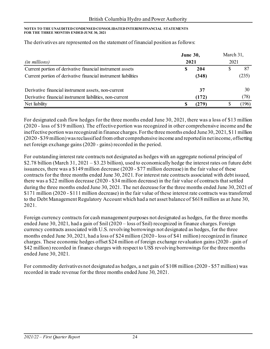|                                                                | <b>June 30,</b> | March 31,<br>2021 |  |       |
|----------------------------------------------------------------|-----------------|-------------------|--|-------|
| <i>(in millions)</i>                                           | 2021            |                   |  |       |
| Current portion of derivative financial instrument assets      | S               | 204               |  | 87    |
| Current portion of derivative financial instrument liabilities |                 | (348)             |  | (235) |
| Derivative financial instrument assets, non-current            |                 | 37                |  | 30    |
| Derivative financial instrument liabilities, non-current       |                 | (172)             |  | (78)  |
| Net liability                                                  |                 | (279)             |  | (196) |

The derivatives are represented on the statement of financial position as follows:

For designated cash flow hedges for the three months ended June 30, 2021, there was a loss of \$13 million (2020 - loss of \$19 million). The effective portion was recognized in other comprehensive income and the ineffective portion was recognized in finance charges. For the three months ended June 30, 2021, \$11 million (2020 - \$39 million) was reclassified from other comprehensive income and reported in net income, offsetting net foreign exchange gains (2020 - gains) recorded in the period.

For outstanding interest rate contracts not designated as hedges with an aggregate notional principal of \$2.78 billion (March 31, 2021 – \$3.23 billion), used to economically hedge the interest rates on future debt issuances, there was a \$149 million decrease (2020 - \$77 million decrease) in the fair value of these contracts for the three months ended June 30, 2021. For interest rate contracts associated with debt issued, there was a \$22 million decrease (2020 - \$34 million decrease) in the fair value of contracts that settled during the three months ended June 30, 2021. The net decrease for the three months ended June 30, 2021 of \$171 million (2020 - \$111 million decrease) in the fair value of these interest rate contracts was transferred to the Debt Management Regulatory Account which had a net asset balance of \$618 million as at June 30, 2021.

Foreign currency contracts for cash management purposes not designated as hedges, for the three months ended June 30, 2021, had a gain of \$nil (2020 – loss of \$nil) recognized in finance charges. Foreign currency contracts associated with U.S. revolving borrowings not designated as hedges, for the three months ended June 30, 2021, had a loss of \$24 million (2020 - loss of \$41 million) recognized in finance charges. These economic hedges offset \$24 million of foreign exchange revaluation gains (2020 - gain of \$42 million) recorded in finance charges with respect to US\$ revolving borrowings for the three months ended June 30, 2021.

For commodity derivatives not designated as hedges, a net gain of \$108 million (2020 - \$57 million) was recorded in trade revenue for the three months ended June 30, 2021.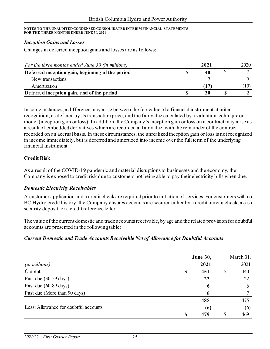#### *Inception Gains and Losses*

Changes in deferred inception gains and losses are as follows:

| For the three months ended June 30 (in millions) | 2021 | 2020 |
|--------------------------------------------------|------|------|
| Deferred inception gain, beginning of the period | 40   |      |
| New transactions                                 |      |      |
| Amortization                                     | (17) | (10) |
| Deferred inception gain, end of the period       | 30   |      |

In some instances, a difference may arise between the fair value of a financial instrument at initial recognition, as defined by its transaction price, and the fair value calculated by a valuation technique or model (inception gain or loss). In addition, the Company's inception gain or loss on a contract may arise as a result of embedded derivatives which are recorded at fair value, with the remainder of the contract recorded on an accrual basis. In these circumstances, the unrealized inception gain or loss is not recognized in income immediately, but is deferred and amortized into income over the full term of the underlying financial instrument.

#### **Credit Risk**

As a result of the COVID-19 pandemic and material disruptions to businesses and the economy, the Company is exposed to credit risk due to customers not being able to pay their electricity bills when due.

#### *Domestic Electricity Receivables*

A customer application and a credit check are required prior to initiation of services. For customers with no BC Hydro credit history, the Company ensures accounts are secured either by a credit bureau check, a cash security deposit, or a credit reference letter.

The value of the current domestic and trade accounts receivable, by age and the related provision for doubtful accounts are presented in the following table:

#### *Current Domestic and Trade Accounts Receivable Net of Allowance for Doubtful Accounts*

|                                       |   | <b>June 30,</b> |    | March 31, |
|---------------------------------------|---|-----------------|----|-----------|
| ( <i>in millions</i> )                |   | 2021            |    | 2021      |
| Current                               | S | 451             | \$ | 440       |
| Past due (30-59 days)                 |   | 22              |    | 22        |
| Past due (60-89 days)                 |   | 6               |    | 6         |
| Past due (More than 90 days)          |   | 6               |    |           |
|                                       |   | 485             |    | 475       |
| Less: Allowance for doubtful accounts |   | (6)             |    | (6)       |
|                                       |   | 479             | S  | 469       |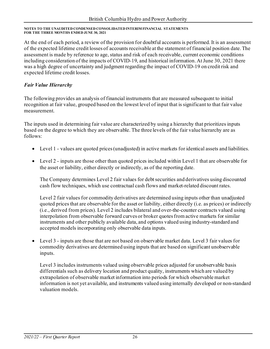At the end of each period, a review of the provision for doubtful accounts is performed. It is an assessment of the expected lifetime credit losses of accounts receivable at the statement of financial position date. The assessment is made by reference to age, status and risk of each receivable, current economic conditions including consideration of the impacts of COVID-19, and historical information. At June 30, 2021 there was a high degree of uncertainty and judgment regarding the impact of COVID-19 on credit risk and expected lifetime credit losses.

### *Fair Value Hierarchy*

The following provides an analysis of financial instruments that are measured subsequent to initial recognition at fair value, grouped based on the lowest level of input that is significant to that fair value measurement.

The inputs used in determining fair value are characterized by using a hierarchy that prioritizes inputs based on the degree to which they are observable. The three levels of the fair value hierarchy are as follows:

- Level 1 values are quoted prices (unadjusted) in active markets for identical assets and liabilities.
- Level 2 inputs are those other than quoted prices included within Level 1 that are observable for the asset or liability, either directly or indirectly, as of the reporting date.

The Company determines Level 2 fair values for debt securities and derivatives using discounted cash flow techniques, which use contractual cash flows and market-related discount rates.

Level 2 fair values for commodity derivatives are determined using inputs other than unadjusted quoted prices that are observable for the asset or liability, either directly (i.e. as prices) or indirectly (i.e., derived from prices). Level 2 includes bilateral and over-the-counter contracts valued using interpolation from observable forward curves or broker quotes from active markets for similar instruments and other publicly available data, and options valued using industry-standard and accepted models incorporating only observable data inputs.

• Level 3 - inputs are those that are not based on observable market data. Level 3 fair values for commodity derivatives are determined using inputs that are based on significant unobservable inputs.

Level 3 includes instruments valued using observable prices adjusted for unobservable basis differentials such as delivery location and product quality, instruments which are valued by extrapolation of observable market information into periods for which observable market information is not yet available, and instruments valued using internally developed or non-standard valuation models.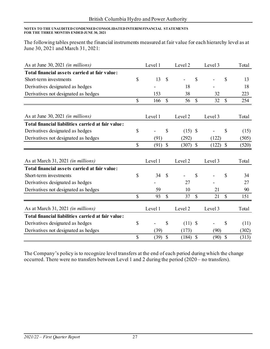The following tables present the financial instruments measured at fair value for each hierarchy level as at June 30, 2021 and March 31, 2021:

| As at June 30, 2021 (in millions)                  |              | Level 1 |               | Level 2            |               | Level 3 |               | Total |
|----------------------------------------------------|--------------|---------|---------------|--------------------|---------------|---------|---------------|-------|
| Total financial assets carried at fair value:      |              |         |               |                    |               |         |               |       |
| Short-term investments                             | \$           | 13      | \$            |                    | $\mathcal{S}$ |         | \$            | 13    |
| Derivatives designated as hedges                   |              |         |               | 18                 |               |         |               | 18    |
| Derivatives not designated as hedges               |              | 153     |               | 38                 |               | 32      |               | 223   |
|                                                    | $\mathbb{S}$ | 166     | $\mathbb{S}$  | 56                 | $\mathcal{S}$ | 32      | \$            | 254   |
|                                                    |              |         |               |                    |               |         |               |       |
| As at June 30, 2021 <i>(in millions)</i>           |              | Level 1 |               | Level 2            |               | Level 3 |               | Total |
| Total financial liabilities carried at fair value: |              |         |               |                    |               |         |               |       |
| Derivatives designated as hedges                   | \$           |         | \$            | $(15)$ \$          |               |         | \$            | (15)  |
| Derivatives not designated as hedges               |              | (91)    |               | (292)              |               | (122)   |               | (505) |
|                                                    | $\mathbb{S}$ | (91)    | $\mathcal{S}$ | (307)              | $\mathcal{S}$ | (122)   | $\mathcal{S}$ | (520) |
| As at March 31, 2021 (in millions)                 |              | Level 1 |               | Level 2            |               | Level 3 |               | Total |
| Total financial assets carried at fair value:      |              |         |               |                    |               |         |               |       |
| Short-term investments                             | \$           | 34      | $\mathcal{S}$ |                    | \$            |         | \$            | 34    |
| Derivatives designated as hedges                   |              |         |               | 27                 |               |         |               | 27    |
| Derivatives not designated as hedges               |              | 59      |               | 10                 |               | 21      |               | 90    |
|                                                    | \$           | 93      | \$            | 37                 | $\mathcal{S}$ | 21      | $\mathbb{S}$  | 151   |
| As at March 31, 2021 (in millions)                 |              | Level 1 |               | Level <sub>2</sub> |               | Level 3 |               | Total |
| Total financial liabilities carried at fair value: |              |         |               |                    |               |         |               |       |
| Derivatives designated as hedges                   | \$           |         | \$            | $(11)$ \$          |               |         | \$            | (11)  |
| Derivatives not designated as hedges               |              | (39)    |               | (173)              |               | (90)    |               | (302) |
|                                                    | \$           | (39)    | $\mathcal{S}$ | (184)              | $\mathcal{S}$ | (90)    | $\mathcal{S}$ | (313) |

The Company's policy is to recognize level transfers at the end of each period during which the change occurred. There were no transfers between Level 1 and 2 during the period (2020 – no transfers).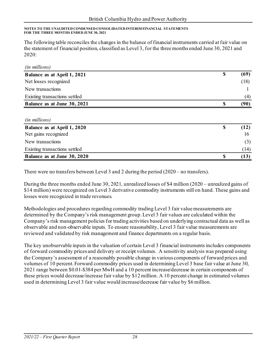The following table reconciles the changes in the balance of financial instruments carried at fair value on the statement of financial position, classified as Level 3, for the three months ended June 30, 2021 and 2020:

| <i>(in millions)</i>          |            |
|-------------------------------|------------|
| Balance as at April 1, 2021   | \$<br>(69) |
| Net losses recognized         | (18)       |
| New transactions              |            |
| Existing transactions settled | (4)        |
| Balance as at June 30, 2021   | (90)       |

| <i>(in millions)</i>          |      |
|-------------------------------|------|
| Balance as at April 1, 2020   | (12) |
| Net gains recognized          | 16   |
| New transactions              |      |
| Existing transactions settled | (14) |
| Balance as at June 30, 2020   | 15   |

There were no transfers between Level 3 and 2 during the period (2020 – no transfers).

During the three months ended June 30, 2021, unrealized losses of \$4 million (2020 – unrealized gains of \$14 million) were recognized on Level 3 derivative commodity instruments still on hand. These gains and losses were recognized in trade revenues.

Methodologies and procedures regarding commodity trading Level 3 fair value measurements are determined by the Company's risk management group. Level 3 fair values are calculated within the Company's risk management policies for trading activities based on underlying contractual data as well as observable and non-observable inputs. To ensure reasonability, Level 3 fair value measurements are reviewed and validated by risk management and finance departments on a regular basis.

The key unobservable inputs in the valuation of certain Level 3 financial instruments includes components of forward commodity prices and delivery or receipt volumes. A sensitivity analysis was prepared using the Company's assessment of a reasonably possible change in various components of forward prices and volumes of 10 percent. Forward commodity prices used in determining Level 3 base fair value at June 30, 2021 range between \$0.01-\$384 per MwH and a 10 percent increase/decrease in certain components of these prices would decrease/increase fair value by \$12 million. A 10 percent change in estimated volumes used in determining Level 3 fair value would increase/decrease fair value by \$6 million.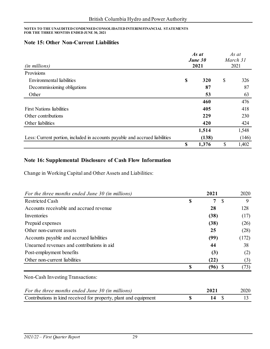#### **Note 15: Other Non-Current Liabilities**

|                                                                             | As at<br>June 30 |       | As at<br>March 31<br>2021 |       |
|-----------------------------------------------------------------------------|------------------|-------|---------------------------|-------|
| (in millions)                                                               |                  | 2021  |                           |       |
| Provisions                                                                  |                  |       |                           |       |
| Environmental liabilities                                                   | \$               | 320   | \$                        | 326   |
| Decommissioning obligations                                                 |                  | 87    |                           | 87    |
| Other                                                                       |                  | 53    |                           | 63    |
|                                                                             |                  | 460   |                           | 476   |
| <b>First Nations liabilities</b>                                            |                  | 405   |                           | 418   |
| Other contributions                                                         |                  | 229   |                           | 230   |
| Other liabilities                                                           |                  | 420   |                           | 424   |
|                                                                             |                  | 1,514 |                           | 1,548 |
| Less: Current portion, included in accounts payable and accrued liabilities |                  | (138) |                           | (146) |
|                                                                             | \$               | 1,376 | \$                        | 1,402 |

### **Note 16: Supplemental Disclosure of Cash Flow Information**

Change in Working Capital and Other Assets and Liabilities:

| For the three months ended June 30 (in millions) | 2021            | 2020  |
|--------------------------------------------------|-----------------|-------|
| <b>Restricted Cash</b>                           | \$<br>7<br>-S   | 9     |
| Accounts receivable and accrued revenue          | 28              | 128   |
| Inventories                                      | (38)            | (17)  |
| Prepaid expenses                                 | (38)            | (26)  |
| Other non-current assets                         | 25              | (28)  |
| Accounts payable and accrued liabilities         | (99)            | (172) |
| Unearned revenues and contributions in aid       | 44              | 38    |
| Post-employment benefits                         | (3)             | (2)   |
| Other non-current liabilities                    | (22)            | (3)   |
|                                                  | \$<br>$(96)$ \$ | (73)  |
|                                                  |                 |       |

Non-Cash Investing Transactions:

| For the three months ended June 30 (in millions)                 | 2021 | 2020 |
|------------------------------------------------------------------|------|------|
| Contributions in kind received for property, plant and equipment |      |      |